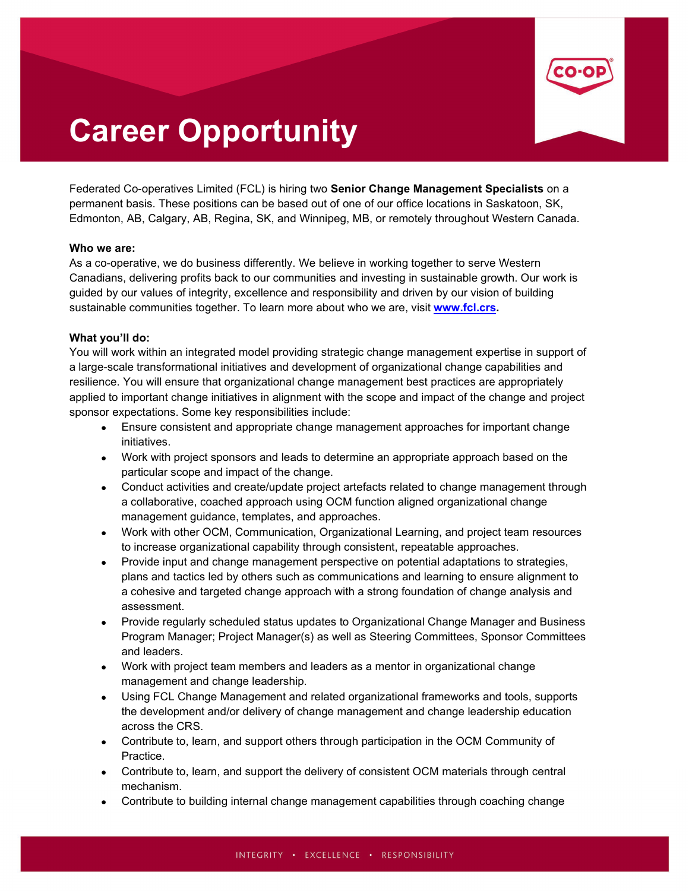

# **Career Opportunity**

Federated Co-operatives Limited (FCL) is hiring two **Senior Change Management Specialists** on a permanent basis. These positions can be based out of one of our office locations in Saskatoon, SK, Edmonton, AB, Calgary, AB, Regina, SK, and Winnipeg, MB, or remotely throughout Western Canada.

## **Who we are:**

As a co-operative, we do business differently. We believe in working together to serve Western Canadians, delivering profits back to our communities and investing in sustainable growth. Our work is guided by our values of integrity, excellence and responsibility and driven by our vision of building sustainable communities together. To learn more about who we are, visit **[www.fcl.crs.](http://www.fcl.crs/)**

## **What you'll do:**

You will work within an integrated model providing strategic change management expertise in support of a large-scale transformational initiatives and development of organizational change capabilities and resilience. You will ensure that organizational change management best practices are appropriately applied to important change initiatives in alignment with the scope and impact of the change and project sponsor expectations. Some key responsibilities include:

- Ensure consistent and appropriate change management approaches for important change initiatives.
- Work with project sponsors and leads to determine an appropriate approach based on the particular scope and impact of the change.
- Conduct activities and create/update project artefacts related to change management through a collaborative, coached approach using OCM function aligned organizational change management guidance, templates, and approaches.
- Work with other OCM, Communication, Organizational Learning, and project team resources to increase organizational capability through consistent, repeatable approaches.
- Provide input and change management perspective on potential adaptations to strategies, plans and tactics led by others such as communications and learning to ensure alignment to a cohesive and targeted change approach with a strong foundation of change analysis and assessment.
- Provide regularly scheduled status updates to Organizational Change Manager and Business Program Manager; Project Manager(s) as well as Steering Committees, Sponsor Committees and leaders.
- Work with project team members and leaders as a mentor in organizational change management and change leadership.
- Using FCL Change Management and related organizational frameworks and tools, supports the development and/or delivery of change management and change leadership education across the CRS.
- Contribute to, learn, and support others through participation in the OCM Community of Practice.
- Contribute to, learn, and support the delivery of consistent OCM materials through central mechanism.
- Contribute to building internal change management capabilities through coaching change